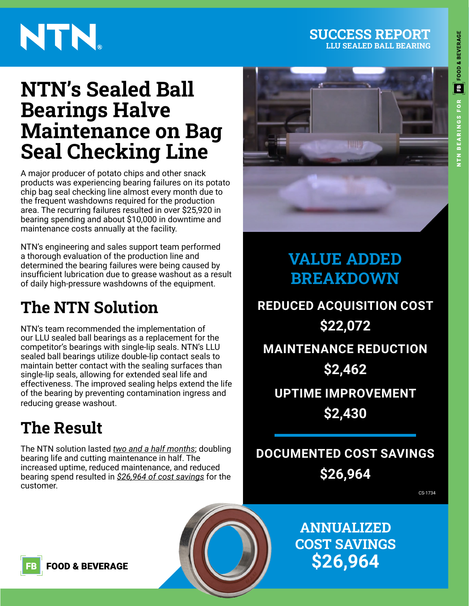# **ED** FOOD & BEVERAGE ITN BEARINGS FOR

# NTN.

# **NTN's Sealed Ball Bearings Halve Maintenance on Bag Seal Checking Line**

A major producer of potato chips and other snack products was experiencing bearing failures on its potato chip bag seal checking line almost every month due to the frequent washdowns required for the production area. The recurring failures resulted in over \$25,920 in bearing spending and about \$10,000 in downtime and maintenance costs annually at the facility.

NTN's engineering and sales support team performed a thorough evaluation of the production line and determined the bearing failures were being caused by insufficient lubrication due to grease washout as a result of daily high-pressure washdowns of the equipment.

# **The NTN Solution**

NTN's team recommended the implementation of our LLU sealed ball bearings as a replacement for the competitor's bearings with single-lip seals. NTN's LLU sealed ball bearings utilize double-lip contact seals to maintain better contact with the sealing surfaces than single-lip seals, allowing for extended seal life and effectiveness. The improved sealing helps extend the life of the bearing by preventing contamination ingress and reducing grease washout.

# **The Result**

The NTN solution lasted *two and a half months*; doubling bearing life and cutting maintenance in half. The increased uptime, reduced maintenance, and reduced bearing spend resulted in *\$26,964 of cost savings* for the customer.



**SUCCESS REPORT LLU SEALED BALL BEARING**

## **VALUE ADDED BREAKDOWN**

**REDUCED ACQUISITION COST \$22,072 MAINTENANCE REDUCTION**

#### **\$2,462**

**UPTIME IMPROVEMENT \$2,430**

**DOCUMENTED COST SAVINGS \$26,964**

CS-1734

**ANNUALIZED COST SAVINGS \$26,964**